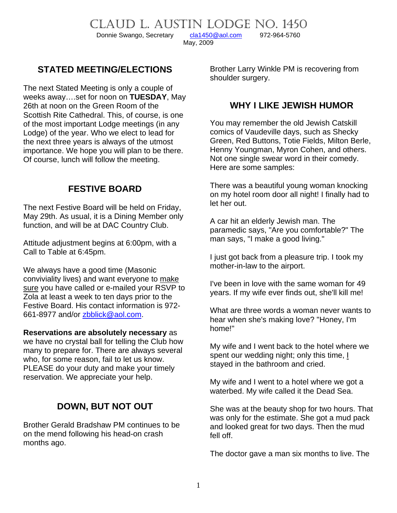CLAUD L. AUSTIN LODGE NO. 1450

Donnie Swango, Secretary [cla1450@aol.com](mailto:cla1450@aol.com) 972-964-5760

May, 2009

# **STATED MEETING/ELECTIONS**

The next Stated Meeting is only a couple of weeks away….set for noon on **TUESDAY**, May 26th at noon on the Green Room of the Scottish Rite Cathedral. This, of course, is one of the most important Lodge meetings (in any Lodge) of the year. Who we elect to lead for the next three years is always of the utmost importance. We hope you will plan to be there. Of course, lunch will follow the meeting.

# **FESTIVE BOARD**

The next Festive Board will be held on Friday, May 29th. As usual, it is a Dining Member only function, and will be at DAC Country Club.

Attitude adjustment begins at 6:00pm, with a Call to Table at 6:45pm.

We always have a good time (Masonic conviviality lives) and want everyone to make sure you have called or e-mailed your RSVP to Zola at least a week to ten days prior to the Festive Board. His contact information is 972- 661-8977 and/or [zbblick@aol.com](mailto:zbblick@aol.com).

**Reservations are absolutely necessary** as we have no crystal ball for telling the Club how many to prepare for. There are always several who, for some reason, fail to let us know. PLEASE do your duty and make your timely reservation. We appreciate your help.

# **DOWN, BUT NOT OUT**

Brother Gerald Bradshaw PM continues to be on the mend following his head-on crash months ago.

Brother Larry Winkle PM is recovering from shoulder surgery.

# **WHY I LIKE JEWISH HUMOR**

You may remember the old Jewish Catskill comics of Vaudeville days, such as Shecky Green, Red Buttons, Totie Fields, Milton Berle, Henny Youngman, Myron Cohen, and others. Not one single swear word in their comedy. Here are some samples:

There was a beautiful young woman knocking on my hotel room door all night! I finally had to let her out.

A car hit an elderly Jewish man. The paramedic says, "Are you comfortable?" The man says, "I make a good living."

I just got back from a pleasure trip. I took my mother-in-law to the airport.

I've been in love with the same woman for 49 years. If my wife ever finds out, she'll kill me!

What are three words a woman never wants to hear when she's making love? "Honey, I'm home!"

My wife and I went back to the hotel where we spent our wedding night; only this time, I stayed in the bathroom and cried.

My wife and I went to a hotel where we got a waterbed. My wife called it the Dead Sea.

She was at the beauty shop for two hours. That was only for the estimate. She got a mud pack and looked great for two days. Then the mud fell off.

The doctor gave a man six months to live. The